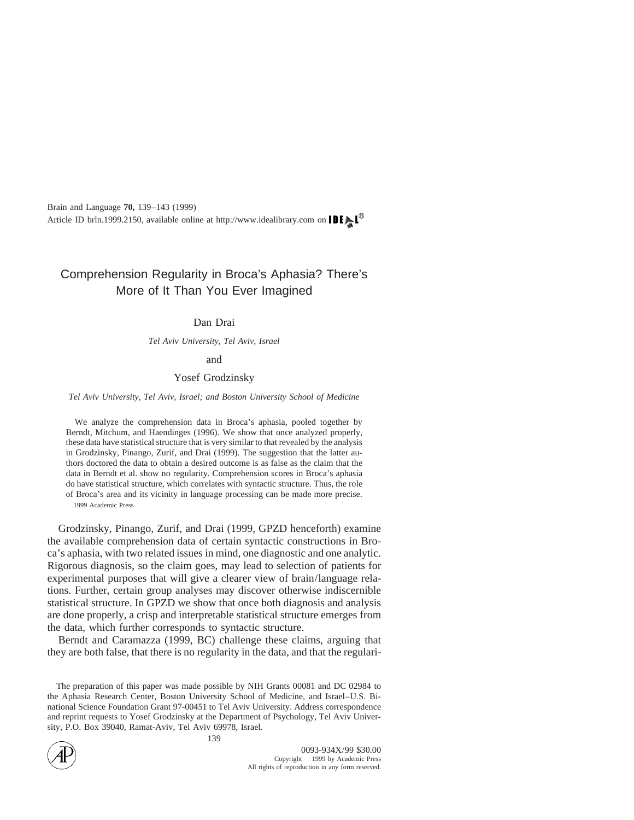# Comprehension Regularity in Broca's Aphasia? There's More of It Than You Ever Imagined

Dan Drai

*Tel Aviv University, Tel Aviv, Israel*

## and

# Yosef Grodzinsky

*Tel Aviv University, Tel Aviv, Israel; and Boston University School of Medicine*

We analyze the comprehension data in Broca's aphasia, pooled together by Berndt, Mitchum, and Haendinges (1996). We show that once analyzed properly, these data have statistical structure that is very similar to that revealed by the analysis in Grodzinsky, Pinango, Zurif, and Drai (1999). The suggestion that the latter authors doctored the data to obtain a desired outcome is as false as the claim that the data in Berndt et al. show no regularity. Comprehension scores in Broca's aphasia do have statistical structure, which correlates with syntactic structure. Thus, the role of Broca's area and its vicinity in language processing can be made more precise. 1999 Academic Press

Grodzinsky, Pinango, Zurif, and Drai (1999, GPZD henceforth) examine the available comprehension data of certain syntactic constructions in Broca's aphasia, with two related issues in mind, one diagnostic and one analytic. Rigorous diagnosis, so the claim goes, may lead to selection of patients for experimental purposes that will give a clearer view of brain/language relations. Further, certain group analyses may discover otherwise indiscernible statistical structure. In GPZD we show that once both diagnosis and analysis are done properly, a crisp and interpretable statistical structure emerges from the data, which further corresponds to syntactic structure.

Berndt and Caramazza (1999, BC) challenge these claims, arguing that they are both false, that there is no regularity in the data, and that the regulari-

The preparation of this paper was made possible by NIH Grants 00081 and DC 02984 to the Aphasia Research Center, Boston University School of Medicine, and Israel–U.S. Binational Science Foundation Grant 97-00451 to Tel Aviv University. Address correspondence and reprint requests to Yosef Grodzinsky at the Department of Psychology, Tel Aviv University, P.O. Box 39040, Ramat-Aviv, Tel Aviv 69978, Israel.

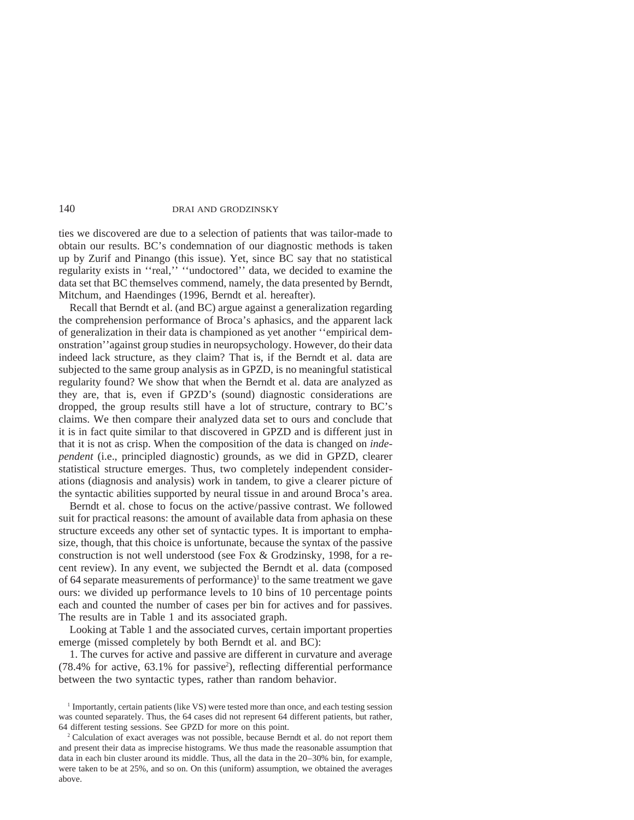ties we discovered are due to a selection of patients that was tailor-made to obtain our results. BC's condemnation of our diagnostic methods is taken up by Zurif and Pinango (this issue). Yet, since BC say that no statistical regularity exists in ''real,'' ''undoctored'' data, we decided to examine the data set that BC themselves commend, namely, the data presented by Berndt, Mitchum, and Haendinges (1996, Berndt et al. hereafter).

Recall that Berndt et al. (and BC) argue against a generalization regarding the comprehension performance of Broca's aphasics, and the apparent lack of generalization in their data is championed as yet another ''empirical demonstration''against group studies in neuropsychology. However, do their data indeed lack structure, as they claim? That is, if the Berndt et al. data are subjected to the same group analysis as in GPZD, is no meaningful statistical regularity found? We show that when the Berndt et al. data are analyzed as they are, that is, even if GPZD's (sound) diagnostic considerations are dropped, the group results still have a lot of structure, contrary to BC's claims. We then compare their analyzed data set to ours and conclude that it is in fact quite similar to that discovered in GPZD and is different just in that it is not as crisp. When the composition of the data is changed on *independent* (i.e., principled diagnostic) grounds, as we did in GPZD, clearer statistical structure emerges. Thus, two completely independent considerations (diagnosis and analysis) work in tandem, to give a clearer picture of the syntactic abilities supported by neural tissue in and around Broca's area.

Berndt et al. chose to focus on the active/passive contrast. We followed suit for practical reasons: the amount of available data from aphasia on these structure exceeds any other set of syntactic types. It is important to emphasize, though, that this choice is unfortunate, because the syntax of the passive construction is not well understood (see Fox & Grodzinsky, 1998, for a recent review). In any event, we subjected the Berndt et al. data (composed of 64 separate measurements of performance)<sup>1</sup> to the same treatment we gave ours: we divided up performance levels to 10 bins of 10 percentage points each and counted the number of cases per bin for actives and for passives. The results are in Table 1 and its associated graph.

Looking at Table 1 and the associated curves, certain important properties emerge (missed completely by both Berndt et al. and BC):

1. The curves for active and passive are different in curvature and average  $(78.4\%$  for active,  $63.1\%$  for passive<sup>2</sup>), reflecting differential performance between the two syntactic types, rather than random behavior.

<sup>1</sup> Importantly, certain patients (like VS) were tested more than once, and each testing session was counted separately. Thus, the 64 cases did not represent 64 different patients, but rather, 64 different testing sessions. See GPZD for more on this point.

<sup>2</sup> Calculation of exact averages was not possible, because Berndt et al. do not report them and present their data as imprecise histograms. We thus made the reasonable assumption that data in each bin cluster around its middle. Thus, all the data in the 20–30% bin, for example, were taken to be at 25%, and so on. On this (uniform) assumption, we obtained the averages above.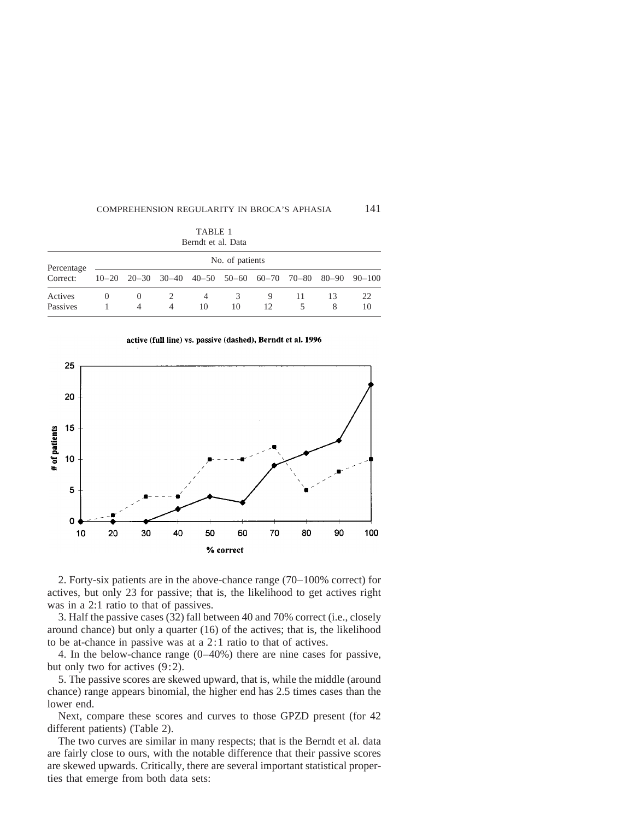| Berndt et al. Data     |                 |                         |   |         |         |         |  |    |                                                  |  |
|------------------------|-----------------|-------------------------|---|---------|---------|---------|--|----|--------------------------------------------------|--|
| Percentage<br>Correct: | No. of patients |                         |   |         |         |         |  |    |                                                  |  |
|                        |                 | $10-20$ $20-30$ $30-40$ |   |         |         |         |  |    | $40-50$ $50-60$ $60-70$ $70-80$ $80-90$ $90-100$ |  |
| Actives<br>Passives    | $\theta$        | $\theta$<br>4           | 4 | 4<br>10 | 3<br>10 | 9<br>12 |  | 13 | 22<br>10                                         |  |

TABLE 1

#### active (full line) vs. passive (dashed), Berndt et al. 1996



2. Forty-six patients are in the above-chance range (70–100% correct) for actives, but only 23 for passive; that is, the likelihood to get actives right was in a 2:1 ratio to that of passives.

3. Half the passive cases (32) fall between 40 and 70% correct (i.e., closely around chance) but only a quarter (16) of the actives; that is, the likelihood to be at-chance in passive was at a 2:1 ratio to that of actives.

4. In the below-chance range (0–40%) there are nine cases for passive, but only two for actives (9:2).

5. The passive scores are skewed upward, that is, while the middle (around chance) range appears binomial, the higher end has 2.5 times cases than the lower end.

Next, compare these scores and curves to those GPZD present (for 42 different patients) (Table 2).

The two curves are similar in many respects; that is the Berndt et al. data are fairly close to ours, with the notable difference that their passive scores are skewed upwards. Critically, there are several important statistical properties that emerge from both data sets: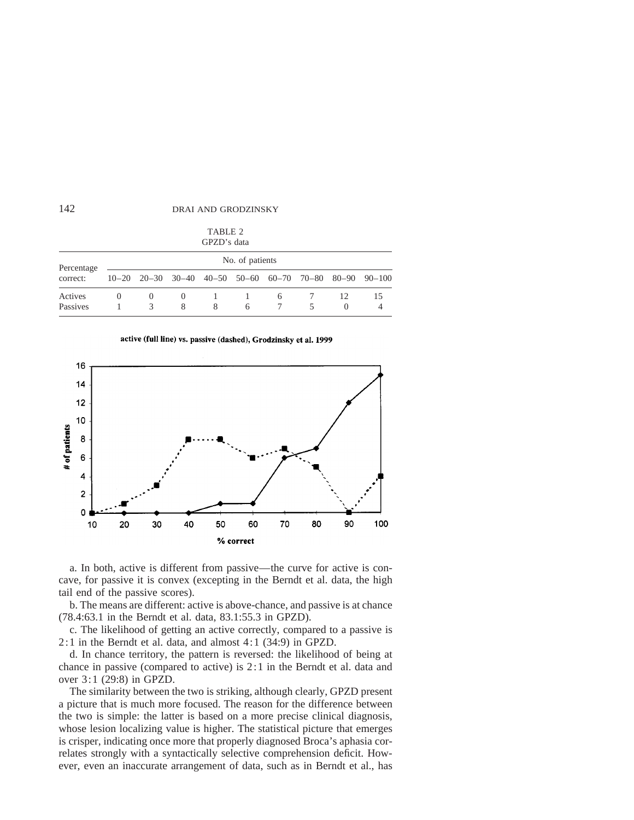| . <i>. .</i> . <i>. .</i> .<br>GPZD's data |                 |                         |               |   |   |   |  |                  |                                      |  |
|--------------------------------------------|-----------------|-------------------------|---------------|---|---|---|--|------------------|--------------------------------------|--|
| Percentage<br>correct:                     | No. of patients |                         |               |   |   |   |  |                  |                                      |  |
|                                            |                 | $10-20$ $20-30$ $30-40$ |               |   |   |   |  |                  | 40-50 50-60 60-70 70-80 80-90 90-100 |  |
| Actives<br>Passives                        | $\theta$        | $\theta$<br>3           | $\theta$<br>8 | 8 | 6 | 6 |  | $\left( \right)$ | 15                                   |  |

TABLE 2

active (full line) vs. passive (dashed), Grodzinsky et al. 1999



a. In both, active is different from passive—the curve for active is concave, for passive it is convex (excepting in the Berndt et al. data, the high tail end of the passive scores).

b. The means are different: active is above-chance, and passive is at chance (78.4:63.1 in the Berndt et al. data, 83.1:55.3 in GPZD).

c. The likelihood of getting an active correctly, compared to a passive is 2:1 in the Berndt et al. data, and almost 4:1 (34:9) in GPZD.

d. In chance territory, the pattern is reversed: the likelihood of being at chance in passive (compared to active) is 2:1 in the Berndt et al. data and over 3:1 (29:8) in GPZD.

The similarity between the two is striking, although clearly, GPZD present a picture that is much more focused. The reason for the difference between the two is simple: the latter is based on a more precise clinical diagnosis, whose lesion localizing value is higher. The statistical picture that emerges is crisper, indicating once more that properly diagnosed Broca's aphasia correlates strongly with a syntactically selective comprehension deficit. However, even an inaccurate arrangement of data, such as in Berndt et al., has